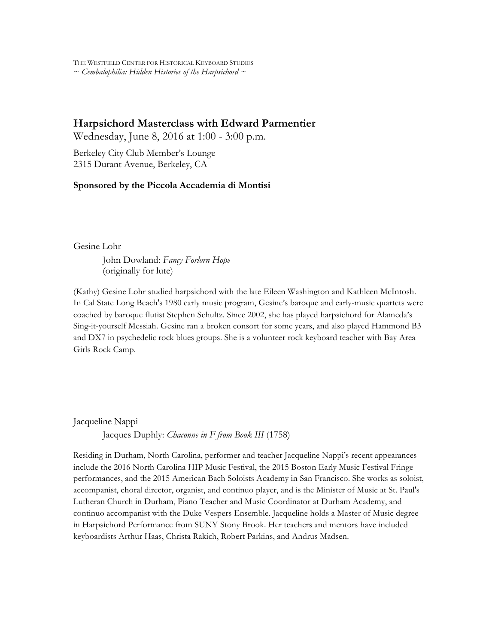THE WESTFIELD CENTER FOR HISTORICAL KEYBOARD STUDIES *~ Cembalophilia: Hidden Histories of the Harpsichord ~*

## **Harpsichord Masterclass with Edward Parmentier**

Wednesday, June 8, 2016 at 1:00 - 3:00 p.m.

Berkeley City Club Member's Lounge 2315 Durant Avenue, Berkeley, CA

## **Sponsored by the Piccola Accademia di Montisi**

Gesine Lohr

John Dowland: *Fancy Forlorn Hope* (originally for lute)

(Kathy) Gesine Lohr studied harpsichord with the late Eileen Washington and Kathleen McIntosh. In Cal State Long Beach's 1980 early music program, Gesine's baroque and early-music quartets were coached by baroque flutist Stephen Schultz. Since 2002, she has played harpsichord for Alameda's Sing-it-yourself Messiah. Gesine ran a broken consort for some years, and also played Hammond B3 and DX7 in psychedelic rock blues groups. She is a volunteer rock keyboard teacher with Bay Area Girls Rock Camp.

Jacqueline Nappi

Jacques Duphly: *Chaconne in F from Book III* (1758)

Residing in Durham, North Carolina, performer and teacher Jacqueline Nappi's recent appearances include the 2016 North Carolina HIP Music Festival, the 2015 Boston Early Music Festival Fringe performances, and the 2015 American Bach Soloists Academy in San Francisco. She works as soloist, accompanist, choral director, organist, and continuo player, and is the Minister of Music at St. Paul's Lutheran Church in Durham, Piano Teacher and Music Coordinator at Durham Academy, and continuo accompanist with the Duke Vespers Ensemble. Jacqueline holds a Master of Music degree in Harpsichord Performance from SUNY Stony Brook. Her teachers and mentors have included keyboardists Arthur Haas, Christa Rakich, Robert Parkins, and Andrus Madsen.